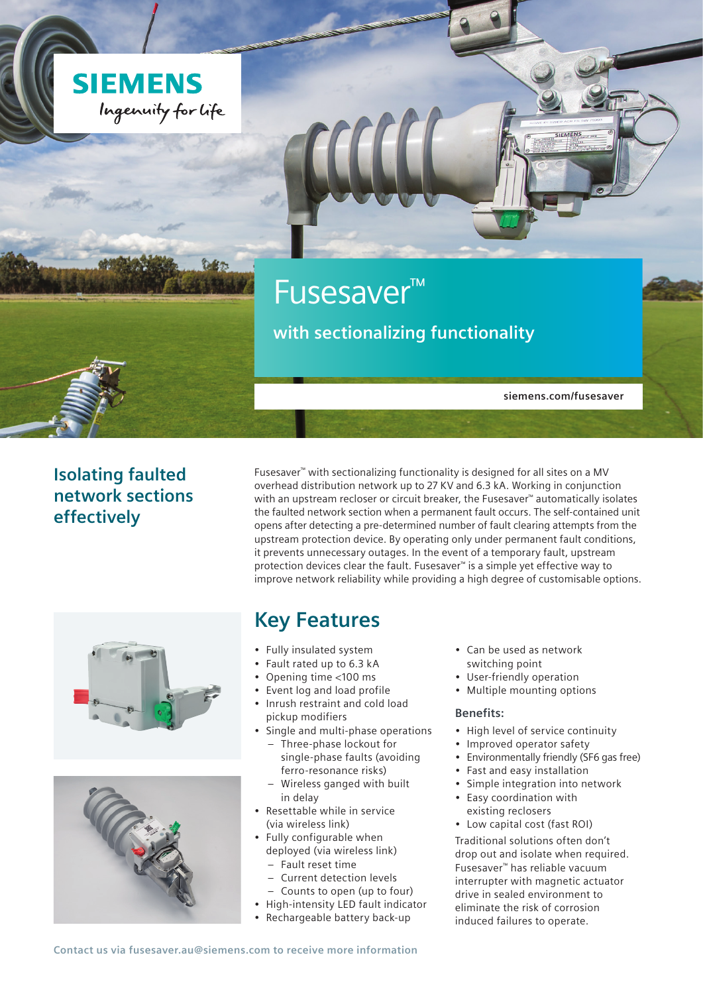



**siemens.com/fusesaver**

SIEMENS

### **Isolating faulted network sections effectively**

Fusesaver™ with sectionalizing functionality is designed for all sites on a MV overhead distribution network up to 27 KV and 6.3 kA. Working in conjunction with an upstream recloser or circuit breaker, the Fusesaver™ automatically isolates the faulted network section when a permanent fault occurs. The self-contained unit opens after detecting a pre-determined number of fault clearing attempts from the upstream protection device. By operating only under permanent fault conditions, it prevents unnecessary outages. In the event of a temporary fault, upstream protection devices clear the fault. Fusesaver™ is a simple yet effective way to improve network reliability while providing a high degree of customisable options.





## **Key Features**

- Fully insulated system
- Fault rated up to 6.3 kA
- Opening time <100 ms
- Event log and load profile
- Inrush restraint and cold load pickup modifiers
- Single and multi-phase operations – Three-phase lockout for
	- single-phase faults (avoiding ferro-resonance risks) – Wireless ganged with built
- in delay
- Resettable while in service (via wireless link)
- Fully configurable when deployed (via wireless link)
	- Fault reset time
	- Current detection levels
- Counts to open (up to four)
- High-intensity LED fault indicator
- Rechargeable battery back-up
- Can be used as network switching point
- User-friendly operation
- Multiple mounting options

#### **Benefits:**

- High level of service continuity
- Improved operator safety
- Environmentally friendly (SF6 gas free)
- Fast and easy installation
- Simple integration into network
- Easy coordination with existing reclosers
- Low capital cost (fast ROI)

Traditional solutions often don't drop out and isolate when required. Fusesaver™ has reliable vacuum interrupter with magnetic actuator drive in sealed environment to eliminate the risk of corrosion induced failures to operate.